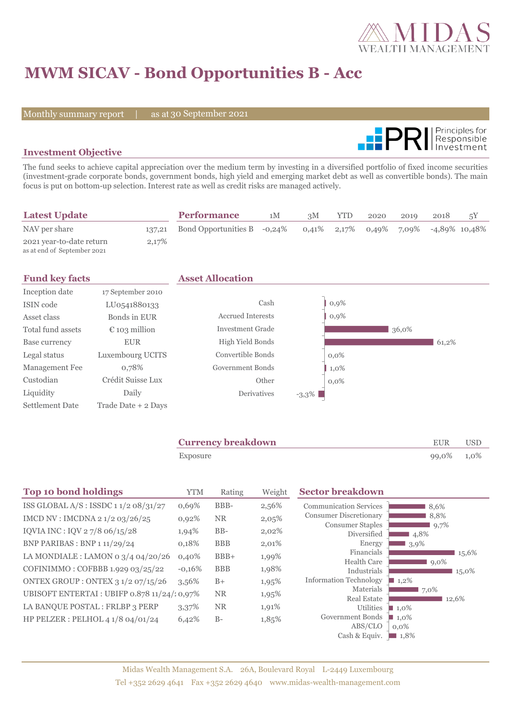

# **MWM SICAV - Bond Opportunities B - Acc**

Monthly summary report | as at 30 September 2021



### **Investment Objective**

The fund seeks to achieve capital appreciation over the medium term by investing in a diversified portfolio of fixed income securities (investment-grade corporate bonds, government bonds, high yield and emerging market debt as well as convertible bonds). The main focus is put on bottom-up selection. Interest rate as well as credit risks are managed actively.

| <b>Latest Update</b>                                    |       | <b>Performance</b>                 | 1М | 3M | YTD | 2020 | 2019 | 2018                                     | 5Y |
|---------------------------------------------------------|-------|------------------------------------|----|----|-----|------|------|------------------------------------------|----|
| NAV per share                                           |       | 137,21 Bond Opportunities B -0,24% |    |    |     |      |      | $0.41\%$ 2,17% 0,49% 7,09% -4,89% 10,48% |    |
| 2021 year-to-date return<br>as at end of September 2021 | 2,17% |                                    |    |    |     |      |      |                                          |    |

| <b>Fund key facts</b>  |                        | <b>Asset Allocation</b>  |          |         |       |       |
|------------------------|------------------------|--------------------------|----------|---------|-------|-------|
| Inception date         | 17 September 2010      |                          |          |         |       |       |
| ISIN code              | LU0541880133           | Cash                     |          | 0,9%    |       |       |
| Asset class            | Bonds in EUR           | <b>Accrued Interests</b> |          | 0,9%    |       |       |
| Total fund assets      | $\epsilon$ 103 million | <b>Investment Grade</b>  |          |         | 36,0% |       |
| Base currency          | <b>EUR</b>             | High Yield Bonds         |          |         |       | 61,2% |
| Legal status           | Luxembourg UCITS       | Convertible Bonds        |          | $0.0\%$ |       |       |
| <b>Management Fee</b>  | 0,78%                  | Government Bonds         |          | 1,0%    |       |       |
| Custodian              | Crédit Suisse Lux      | Other                    |          | $0.0\%$ |       |       |
| Liquidity              | Daily                  | Derivatives              | $-3,3\%$ |         |       |       |
| <b>Settlement Date</b> | Trade Date + 2 Days    |                          |          |         |       |       |

|          | <b>Currency breakdown</b> | <b>EUR</b> | <b>USD</b> |
|----------|---------------------------|------------|------------|
| Exposure |                           | 99,0% 1,0% |            |
|          |                           |            |            |

| Top 10 bond holdings                        | <b>YTM</b> | Rating     | Weight | <b>Sector breakdown</b>                |                     |
|---------------------------------------------|------------|------------|--------|----------------------------------------|---------------------|
| ISS GLOBAL A/S : ISSDC $11/208/31/27$       | 0,69%      | BBB-       | 2,56%  | <b>Communication Services</b>          | 8.6%                |
| IMCD NV: IMCDNA 2 1/2 03/26/25              | 0,92%      | <b>NR</b>  | 2,05%  | <b>Consumer Discretionary</b>          | 8,8%                |
| IQVIA INC: IQV 27/8 06/15/28                | 1,94%      | $BB-$      | 2,02%  | <b>Consumer Staples</b><br>Diversified | 9,7%<br>4,8%        |
| BNP PARIBAS : BNP 1 11/29/24                | 0,18%      | <b>BBB</b> | 2,01%  | Energy                                 | 3,9%                |
| LA MONDIALE : LAMON 0 3/4 04/20/26          | $0,40\%$   | $BBB+$     | 1,99%  | Financials                             | 15,6%               |
| COFINIMMO: COFBBB 1.929 03/25/22            | $-0,16\%$  | <b>BBB</b> | 1,98%  | <b>Health Care</b><br>Industrials      | $9,0\%$<br>15,0%    |
| ONTEX GROUP : ONTEX 3 1/2 07/15/26          | 3,56%      | $B+$       | 1,95%  | <b>Information Technology</b>          | $1,2\%$             |
| UBISOFT ENTERTAI : UBIFP 0.878 11/24/10,97% |            | <b>NR</b>  | 1,95%  | Materials                              | 7,0%                |
| LA BANQUE POSTAL : FRLBP 3 PERP             | 3,37%      | <b>NR</b>  | 1,91%  | <b>Real Estate</b>                     | 12,6%               |
|                                             |            |            |        | Utilities                              | $\blacksquare$ 1,0% |
| HP PELZER : PELHOL 4 $1/8$ 04/01/24         | 6,42%      | $B-$       | 1,85%  | Government Bonds                       | $\blacksquare$ 1,0% |
|                                             |            |            |        | ABS/CLO                                | $0.0\%$             |
|                                             |            |            |        | Cash & Equiv.                          | $\blacksquare$ 1,8% |